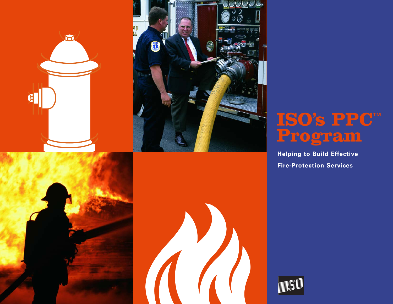



# 

### **ISO's PPCTM Program**

**Helping to Build Effective Fire-Protection Services** 

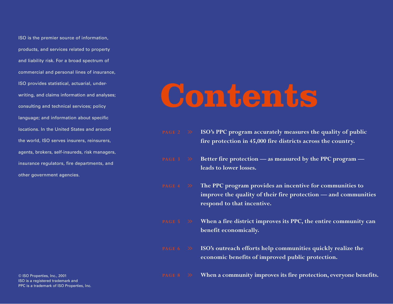ISO is the premier source of information, products, and services related to property and liability risk. For a broad spectrum of commercial and personal lines of insurance, ISO provides statistical, actuarial, underwriting, and claims information and analyses; consulting and technical services; policy language; and information about specific locations. In the United States and around the world, ISO serves insurers, reinsurers, agents, brokers, self-insureds, risk managers, insurance regulators, fire departments, and other government agencies.

### **Contents**

- **PAGE 2 >> ISO's PPC program accurately measures the quality of public fire protection in 45,000 fire districts across the country.**
- **PAGE** 3  $\gg$  **Better fire protection as measured by the PPC program leads to lower losses.**
- **PAGE 4 >> The PPC program provides an incentive for communities to improve the quality of their fire protection — and communities respond to that incentive.**
- **PAGE 5 >> When a fire district improves its PPC, the entire community can benefit economically.**
- **PAGE 6 >> ISO's outreach efforts help communities quickly realize the economic benefits of improved public protection.**
- © ISO Properties, Inc., 2001 **PAGE 8 >> When a community improves its fire protection, everyone benefits.**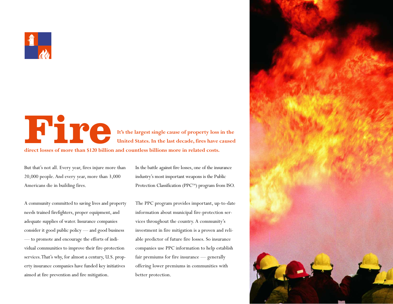

## It's the largest single cause of property loss in the United States. In the last decade, fires have caused direct losses of more than \$120 billion and countless billions more in related costs.

**It's the largest single cause of property loss in the**

**direct losses of more than \$120 billion and countless billions more in related costs.**

But that's not all. Every year, fires injure more than 20,000 people. And every year, more than 3,000 Americans die in building fires.

A community committed to saving lives and property needs trained firefighters, proper equipment, and adequate supplies of water. Insurance companies consider it good public policy — and good business — to promote and encourage the efforts of individual communities to improve their fire-protection services.That's why, for almost a century, U.S. property insurance companies have funded key initiatives aimed at fire prevention and fire mitigation.

In the battle against fire losses, one of the insurance industry's most important weapons is the Public Protection Classification (PPC™) program from ISO.

The PPC program provides important, up-to-date information about municipal fire-protection services throughout the country. A community's investment in fire mitigation is a proven and reliable predictor of future fire losses. So insurance companies use PPC information to help establish fair premiums for fire insurance — generally offering lower premiums in communities with better protection.

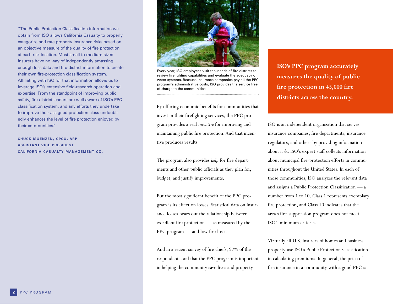"The Public Protection Classification information we obtain from ISO allows California Casualty to properly categorize and rate property insurance risks based on an objective measure of the quality of fire protection at each risk location. Most small to medium-sized insurers have no way of independently amassing enough loss data and fire-district information to create their own fire-protection classification system. Affiliating with ISO for that information allows us to leverage ISO's extensive field-research operation and expertise. From the standpoint of improving public safety, fire-district leaders are well aware of ISO's PPC classification system, and any efforts they undertake to improve their assigned protection class undoubtedly enhances the level of fire protection enjoyed by their communities."

**CHUCK MUENZEN, CPCU, ARP ASSISTANT VICE PRESIDENT CALIFORNIA CASUALTY MANAGEMENT CO.**



Every year, ISO employees visit thousands of fire districts to review firefighting capabilities and evaluate the adequacy of water systems. Because insurance companies pay all the PPC program's administrative costs, ISO provides the service free of charge to the communities.

By offering economic benefits for communities that invest in their firefighting services, the PPC program provides a real *incentive* for improving and maintaining public fire protection. And that incentive produces results.

The program also provides *help* for fire departments and other public officials as they plan for, budget, and justify improvements.

But the most significant benefit of the PPC program is its effect on losses. Statistical data on insurance losses bears out the relationship between excellent fire protection — as measured by the PPC program — and low fire losses.

And in a recent survey of fire chiefs, 97% of the respondents said that the PPC program is important in helping the community save lives and property.

**ISO's PPC program accurately measures the quality of public fire protection in 45,000 fire districts across the country.**

ISO is an independent organization that serves insurance companies, fire departments, insurance regulators, and others by providing information about risk. ISO's expert staff collects information about municipal fire-protection efforts in communities throughout the United States. In each of those communities, ISO analyzes the relevant data and assigns a Public Protection Classification — a number from 1 to 10. Class 1 represents exemplary fire protection, and Class 10 indicates that the area's fire-suppression program does not meet ISO's minimum criteria.

Virtually all U.S. insurers of homes and business property use ISO's Public Protection Classification in calculating premiums. In general, the price of fire insurance in a community with a good PPC is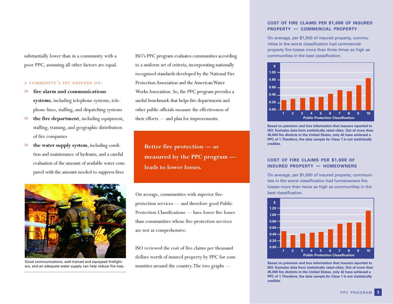substantially lower than in a community with a poor PPC, assuming all other factors are equal.

### A COMMUNITY'S PPC DEPENDS ON:

- **>> fire alarm and communications systems**, including telephone systems, telephone lines, staffing, and dispatching systems
- **>> the fire department**, including equipment, staffing, training, and geographic distribution of fire companies
- the water supply system, including condition and maintenance of hydrants, and a careful evaluation of the amount of available water compared with the amount needed to suppress fires



Good communications, well-trained and equipped firefighters, and an adequate water supply can help reduce fire loss. 

ISO's PPC program evaluates communities according to a uniform set of criteria, incorporating nationally recognized standards developed by the National Fire Protection Association and the American Water Works Association. So, the PPC program provides a useful benchmark that helps fire departments and other public officials measure the effectiveness of their efforts — and plan for improvements.

**Better fire protection — as measured by the PPC program leads to lower losses.**

On average, communities with superior fireprotection services — and therefore good Public Protection Classifications — have lower fire losses than communities whose fire-protection services are not as comprehensive.

ISO reviewed the cost of fire claims per thousand dollars worth of insured property by PPC for communities around the country.The two graphs —

### **COST OF FIRE CLAIMS PER \$1,000 OF INSURED PROPERTY — COMMERCIAL PROPERTY**

On average, per \$1,000 of insured property, communities in the worst classification had commercialproperty fire losses more than three times as high as communities in the best classification.



**Based on premium and loss information that insurers reported to ISO. Excludes data from statistically rated cities. Out of more than 45,000 fire districts in the United States, only 42 have achieved a PPC of 1.Therefore, the data sample for Class 1 is not statistically credible.**

### **COST OF FIRE CLAIMS PER \$1,000 OF INSURED PROPERTY — HOMEOWNERS**

On average, per \$1,000 of insured property, communities in the worst classification had homeowners fire losses more than twice as high as communities in the best classification.



**Based on premium and loss information that insurers reported to ISO. Excludes data from statistically rated cities. Out of more than 45,000 fire districts in the United States, only 42 have achieved a PPC of 1.Therefore, the data sample for Class 1 is not statistically credible.**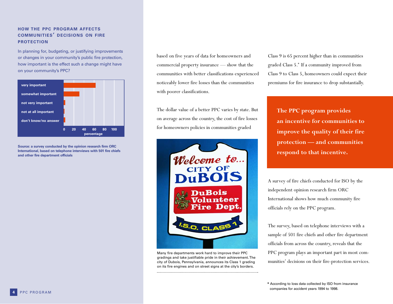### **HOW THE PPC PROGRAM AFFECTS COMMUNITIES' DECISIONS ON FIRE PROTECTION**

In planning for, budgeting, or justifying improvements or changes in your community's public fire protection, how important is the effect such a change might have on your community's PPC?



**Source: a survey conducted by the opinion research firm ORC International, based on telephone interviews with 501 fire chiefs and other fire department officials**

based on five years of data for homeowners and commercial property insurance — show that the communities with better classifications experienced noticeably lower fire losses than the communities with poorer classifications.

The dollar value of a better PPC varies by state. But on average across the country, the cost of fire losses for homeowners policies in communities graded



Many fire departments work hard to improve their PPC gradings and take justifiable pride in their achievement. The city of Dubois, Pennsylvania, announces its Class 1 grading on its fire engines and on street signs at the city's borders.

Class 9 is 65 percent higher than in communities graded Class 5.\* If a community improved from Class 9 to Class 5, homeowners could expect their premiums for fire insurance to drop substantially.

**The PPC program provides an incentive for communities to improve the quality of their fire protection — and communities respond to that incentive.**

A survey of fire chiefs conducted for ISO by the independent opinion research firm ORC International shows how much community fire officials rely on the PPC program.

The survey, based on telephone interviews with a sample of 501 fire chiefs and other fire department officials from across the country, reveals that the PPC program plays an important part in most communities' decisions on their fire-protection services.

**\*** According to loss data collected by ISO from insurance companies for accident years 1994 to 1998.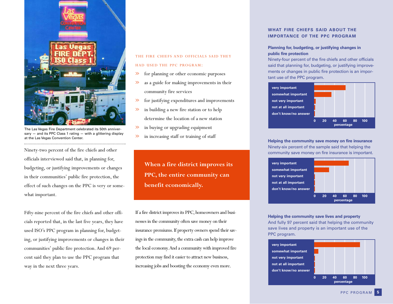

The Las Vegas Fire Department celebrated its 50th anniversary  $-$  and its PPC Class 1 rating  $-$  with a glittering display at the Las Vegas Convention Center.

Ninety-two percent of the fire chiefs and other officials interviewed said that, in planning for, budgeting, or justifying improvements or changes in their communities' public fire protection, the effect of such changes on the PPC is very or somewhat important.

Fifty-nine percent of the fire chiefs and other officials reported that, in the last five years, they have used ISO's PPC program in planning for, budgeting, or justifying improvements or changes in their communities' public fire protection. And 69 percent said they plan to use the PPC program that way in the next three years.

### THE FIRE CHIEFS AND OFFICIALS SAID THEY

### HAD USED THE PPC PROGRAM:

- **>>** for planning or other economic purposes
- as a guide for making improvements in their community fire services
- **>>** for justifying expenditures and improvements
- **>>** in building a new fire station or to help determine the location of a new station
- in buying or upgrading equipment
- **>>** in increasing staff or training of staff

**When a fire district improves its PPC, the entire community can benefit economically.**

If a fire district improves its PPC, homeowners and businesses in the community often save money on their insurance premiums. If property owners spend their savings in the community, the extra cash can help improve the local economy.And a community with improved fire protection may find it easier to attract new business, increasing jobs and boosting the economy even more.

### **WHAT FIRE CHIEFS SAID ABOUT THE IMPORTANCE OF THE PPC PROGRAM**

### **Planning for, budgeting, or justifying changes in public fire protection**

Ninety-four percent of the fire chiefs and other officials said that planning for, budgeting, or justifying improvements or changes in public fire protection is an important use of the PPC program.



**Helping the community save money on fire insurance** Ninety-six percent of the sample said that helping the community save money on fire insurance is important.



### **Helping the community save lives and property**

And fully 97 percent said that helping the community save lives and property is an important use of the PPC program.

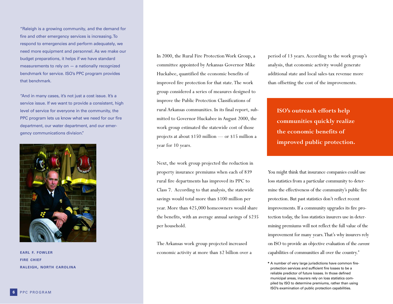"Raleigh is a growing community, and the demand for fire and other emergency services is increasing. To respond to emergencies and perform adequately, we need more equipment and personnel. As we make our budget preparations, it helps if we have standard measurements to rely on — a nationally recognized benchmark for service. ISO's PPC program provides that benchmark.

"And in many cases, it's not just a cost issue. It's a service issue. If we want to provide a consistent, high level of service for everyone in the community, the PPC program lets us know what we need for our fire department, our water department, and our emergency communications division."



**EARL F. FOWLER FIRE CHIEF RALEIGH, NORTH CAROLINA** In 2000, the Rural Fire Protection Work Group, a committee appointed by Arkansas Governor Mike Huckabee, quantified the economic benefits of improved fire protection for that state.The work group considered a series of measures designed to improve the Public Protection Classifications of rural Arkansas communities. In its final report, submitted to Governor Huckabee in August 2000, the work group estimated the statewide cost of those projects at about \$150 million — or \$15 million a year for 10 years.

Next, the work group projected the reduction in property insurance premiums when each of 839 rural fire departments has improved its PPC to Class 7. According to that analysis, the statewide savings would total more than \$100 million per year. More than 425,000 homeowners would share the benefits, with an average annual savings of \$235 per household.

The Arkansas work group projected increased economic activity at more than \$2 billion over a period of 13 years. According to the work group's analysis, that economic activity would generate additional state and local sales-tax revenue more than offsetting the cost of the improvements.

**ISO's outreach efforts help communities quickly realize the economic benefits of improved public protection.**

You might think that insurance companies could use loss statistics from a particular community to determine the effectiveness of the community's public fire protection. But past statistics don't reflect recent improvements. If a community upgrades its fire protection today, the loss statistics insurers use in determining premiums will not reflect the full value of the improvement for many years.That's why insurers rely on ISO to provide an objective evaluation of the *current* capabilities of communities all over the country.\*

**\*** A number of very large jurisdictions have common fireprotection services and sufficient fire losses to be a reliable predictor of future losses. In those defined municipal areas, insurers rely on loss statistics compiled by ISO to determine premiums, rather than using ISO's examination of public protection capabilities.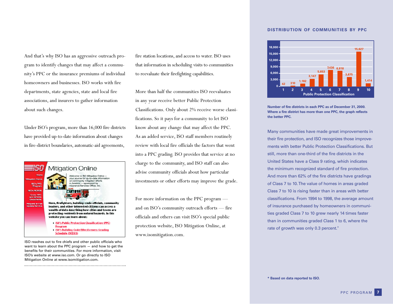### **DISTRIBUTION OF COMMUNITIES BY PPC**

And that's why ISO has an aggressive outreach program to identify changes that may affect a community's PPC or the insurance premiums of individual homeowners and businesses. ISO works with fire departments, state agencies, state and local fire associations, and insurers to gather information about such changes.

Under ISO's program, more than 16,000 fire districts have provided up-to-date information about changes in fire-district boundaries, automatic-aid agreements,



ISO reaches out to fire chiefs and other public officials who want to learn about the PPC program — and how to get the benefits for their communities. For more information, visit ISO's website at www.iso.com. Or go directly to ISO Mitigation Online at www.isomitigation.com.

fire station locations, and access to water. ISO uses that information in scheduling visits to communities to reevaluate their firefighting capabilities.

More than half the communities ISO reevaluates in any year receive better Public Protection Classifications. Only about 2% receive worse classifications. So it pays for a community to let ISO know about any change that may affect the PPC. As an added service, ISO staff members routinely review with local fire officials the factors that went into a PPC grading. ISO provides that service at no charge to the community, and ISO staff can also advise community officials about how particular investments or other efforts may improve the grade.

For more information on the PPC program and on ISO's community outreach efforts — fire officials and others can visit ISO's special public protection website, ISO Mitigation Online, at www.isomitigation.com.



**Number of fire districts in each PPC as of December 31, 2000. Where a fire district has more than one PPC, the graph reflects the better PPC.**

Many communities have made great improvements in their fire protection, and ISO recognizes those improvements with better Public Protection Classifications. But still, more than one-third of the fire districts in the United States have a Class 9 rating, which indicates the minimum recognized standard of fire protection. And more than 62% of the fire districts have gradings of Class 7 to 10. The value of homes in areas graded Class 7 to 10 is rising faster than in areas with better classifications. From 1994 to 1998, the average amount of insurance purchased by homeowners in communities graded Class 7 to 10 grew nearly 14 times faster than in communities graded Class 1 to 6, where the rate of growth was only 0.3 percent.<sup>\*</sup>

**\* Based on data reported to ISO.**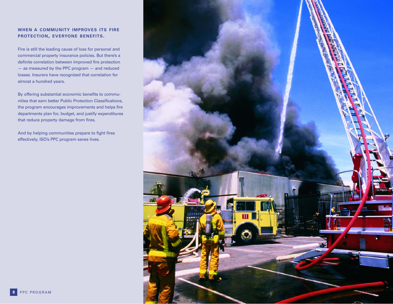### **WHEN A COMMUNITY IMPROVES ITS FIRE PROTECTION, EVERYONE BENEFITS.**

Fire is still the leading cause of loss for personal and commercial property insurance policies. But there's a definite correlation between improved fire protection — as measured by the PPC program — and reduced losses. Insurers have recognized that correlation for almost a hundred years.

By offering substantial economic benefits to communities that earn better Public Protection Classifications, the program encourages improvements and helps fire departments plan for, budget, and justify expenditures that reduce property damage from fires.

And by helping communities prepare to fight fires effectively, ISO's PPC program saves lives.